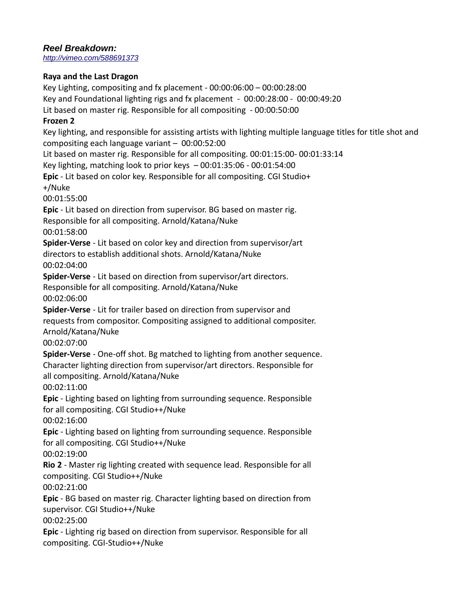## **Raya and the Last Dragon**

compositing. CGI-Studio++/Nuke

Key Lighting, compositing and fx placement - 00:00:06:00 – 00:00:28:00 Key and Foundational lighting rigs and fx placement - 00:00:28:00 - 00:00:49:20 Lit based on master rig. Responsible for all compositing - 00:00:50:00 **Frozen 2** Key lighting, and responsible for assisting artists with lighting multiple language titles for title shot and compositing each language variant – 00:00:52:00 Lit based on master rig. Responsible for all compositing. 00:01:15:00- 00:01:33:14 Key lighting, matching look to prior keys – 00:01:35:06 - 00:01:54:00 **Epic** - Lit based on color key. Responsible for all compositing. CGI Studio+ +/Nuke 00:01:55:00 **Epic** - Lit based on direction from supervisor. BG based on master rig. Responsible for all compositing. Arnold/Katana/Nuke 00:01:58:00 **Spider-Verse** - Lit based on color key and direction from supervisor/art directors to establish additional shots. Arnold/Katana/Nuke 00:02:04:00 **Spider-Verse** - Lit based on direction from supervisor/art directors. Responsible for all compositing. Arnold/Katana/Nuke 00:02:06:00 **Spider-Verse** - Lit for trailer based on direction from supervisor and requests from compositor. Compositing assigned to additional compositer. Arnold/Katana/Nuke 00:02:07:00 **Spider-Verse** - One-off shot. Bg matched to lighting from another sequence. Character lighting direction from supervisor/art directors. Responsible for all compositing. Arnold/Katana/Nuke 00:02:11:00 **Epic** - Lighting based on lighting from surrounding sequence. Responsible for all compositing. CGI Studio++/Nuke 00:02:16:00 **Epic** - Lighting based on lighting from surrounding sequence. Responsible for all compositing. CGI Studio++/Nuke 00:02:19:00 **Rio 2** - Master rig lighting created with sequence lead. Responsible for all compositing. CGI Studio++/Nuke 00:02:21:00 **Epic** - BG based on master rig. Character lighting based on direction from supervisor. CGI Studio++/Nuke 00:02:25:00 **Epic** - Lighting rig based on direction from supervisor. Responsible for all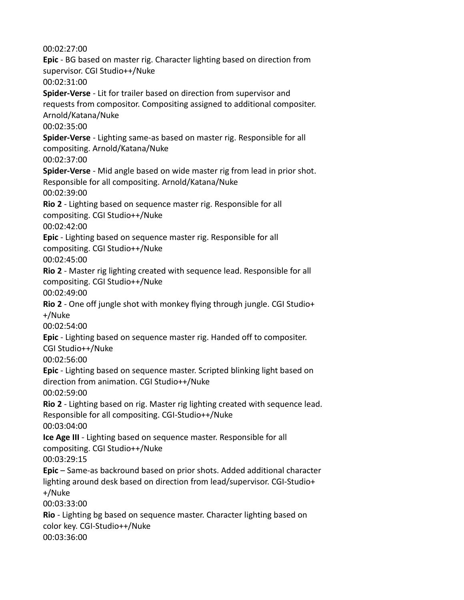00:02:27:00 **Epic** - BG based on master rig. Character lighting based on direction from supervisor. CGI Studio++/Nuke 00:02:31:00 **Spider-Verse** - Lit for trailer based on direction from supervisor and requests from compositor. Compositing assigned to additional compositer. Arnold/Katana/Nuke 00:02:35:00 **Spider-Verse** - Lighting same-as based on master rig. Responsible for all compositing. Arnold/Katana/Nuke 00:02:37:00 **Spider-Verse** - Mid angle based on wide master rig from lead in prior shot. Responsible for all compositing. Arnold/Katana/Nuke 00:02:39:00 **Rio 2** - Lighting based on sequence master rig. Responsible for all compositing. CGI Studio++/Nuke 00:02:42:00 **Epic** - Lighting based on sequence master rig. Responsible for all compositing. CGI Studio++/Nuke 00:02:45:00 **Rio 2** - Master rig lighting created with sequence lead. Responsible for all compositing. CGI Studio++/Nuke 00:02:49:00 **Rio 2** - One off jungle shot with monkey flying through jungle. CGI Studio+ +/Nuke 00:02:54:00 **Epic** - Lighting based on sequence master rig. Handed off to compositer. CGI Studio++/Nuke 00:02:56:00 **Epic** - Lighting based on sequence master. Scripted blinking light based on direction from animation. CGI Studio++/Nuke 00:02:59:00 **Rio 2** - Lighting based on rig. Master rig lighting created with sequence lead. Responsible for all compositing. CGI-Studio++/Nuke 00:03:04:00 **Ice Age III** - Lighting based on sequence master. Responsible for all compositing. CGI Studio++/Nuke 00:03:29:15 **Epic** – Same-as backround based on prior shots. Added additional character lighting around desk based on direction from lead/supervisor. CGI-Studio+ +/Nuke 00:03:33:00 **Rio** - Lighting bg based on sequence master. Character lighting based on color key. CGI-Studio++/Nuke 00:03:36:00